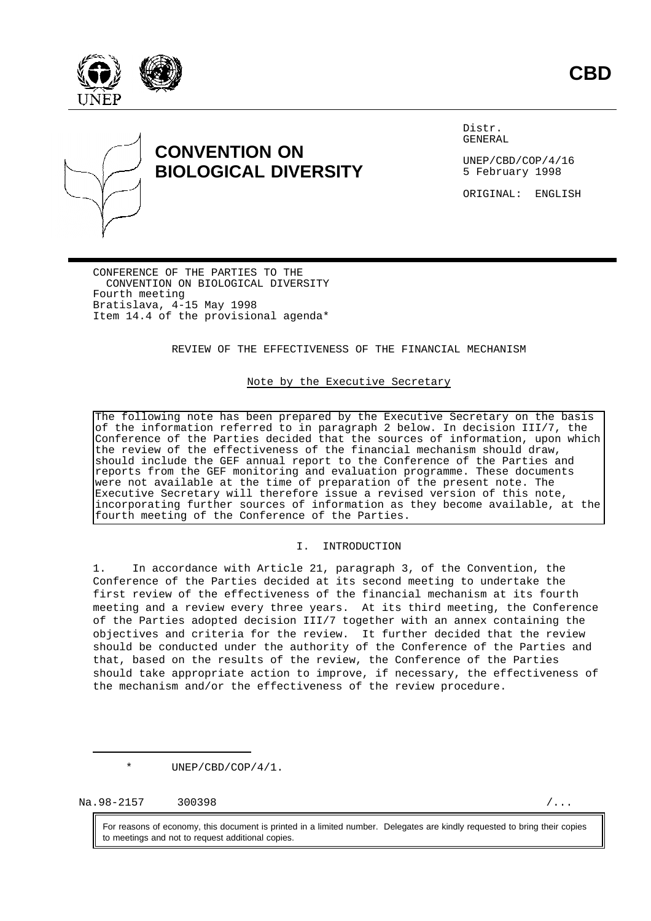



# **CONVENTION ON BIOLOGICAL DIVERSITY**

Distr. GENERAL

UNEP/CBD/COP/4/16 5 February 1998

ORIGINAL: ENGLISH

CONFERENCE OF THE PARTIES TO THE CONVENTION ON BIOLOGICAL DIVERSITY Fourth meeting Bratislava, 4-15 May 1998 Item 14.4 of the provisional agenda\*

REVIEW OF THE EFFECTIVENESS OF THE FINANCIAL MECHANISM

#### Note by the Executive Secretary

The following note has been prepared by the Executive Secretary on the basis of the information referred to in paragraph 2 below. In decision III/7, the Conference of the Parties decided that the sources of information, upon which the review of the effectiveness of the financial mechanism should draw, should include the GEF annual report to the Conference of the Parties and reports from the GEF monitoring and evaluation programme. These documents were not available at the time of preparation of the present note. The Executive Secretary will therefore issue a revised version of this note, incorporating further sources of information as they become available, at the fourth meeting of the Conference of the Parties.

#### I. INTRODUCTION

1. In accordance with Article 21, paragraph 3, of the Convention, the Conference of the Parties decided at its second meeting to undertake the first review of the effectiveness of the financial mechanism at its fourth meeting and a review every three years. At its third meeting, the Conference of the Parties adopted decision III/7 together with an annex containing the objectives and criteria for the review. It further decided that the review should be conducted under the authority of the Conference of the Parties and that, based on the results of the review, the Conference of the Parties should take appropriate action to improve, if necessary, the effectiveness of the mechanism and/or the effectiveness of the review procedure.

\* UNEP/CBD/COP/4/1.

 $Na.98-2157$  300398 /...

For reasons of economy, this document is printed in a limited number. Delegates are kindly requested to bring their copies to meetings and not to request additional copies.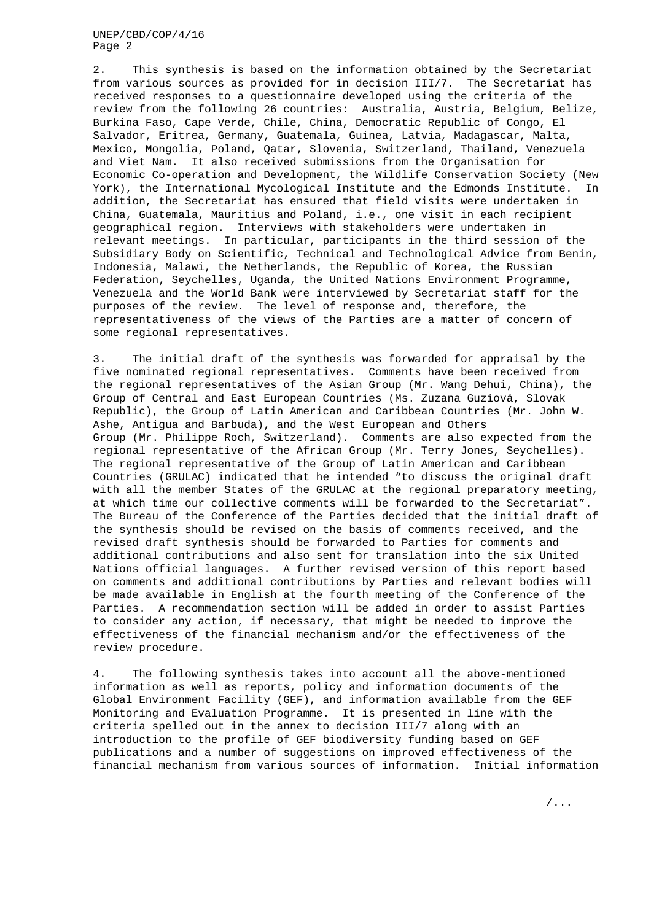2. This synthesis is based on the information obtained by the Secretariat from various sources as provided for in decision III/7. The Secretariat has received responses to a questionnaire developed using the criteria of the review from the following 26 countries: Australia, Austria, Belgium, Belize, Burkina Faso, Cape Verde, Chile, China, Democratic Republic of Congo, El Salvador, Eritrea, Germany, Guatemala, Guinea, Latvia, Madagascar, Malta, Mexico, Mongolia, Poland, Qatar, Slovenia, Switzerland, Thailand, Venezuela and Viet Nam. It also received submissions from the Organisation for Economic Co-operation and Development, the Wildlife Conservation Society (New York), the International Mycological Institute and the Edmonds Institute. In addition, the Secretariat has ensured that field visits were undertaken in China, Guatemala, Mauritius and Poland, i.e., one visit in each recipient geographical region. Interviews with stakeholders were undertaken in relevant meetings. In particular, participants in the third session of the Subsidiary Body on Scientific, Technical and Technological Advice from Benin, Indonesia, Malawi, the Netherlands, the Republic of Korea, the Russian Federation, Seychelles, Uganda, the United Nations Environment Programme, Venezuela and the World Bank were interviewed by Secretariat staff for the purposes of the review. The level of response and, therefore, the representativeness of the views of the Parties are a matter of concern of some regional representatives.

3. The initial draft of the synthesis was forwarded for appraisal by the five nominated regional representatives. Comments have been received from the regional representatives of the Asian Group (Mr. Wang Dehui, China), the Group of Central and East European Countries (Ms. Zuzana Guziová, Slovak Republic), the Group of Latin American and Caribbean Countries (Mr. John W. Ashe, Antigua and Barbuda), and the West European and Others Group (Mr. Philippe Roch, Switzerland). Comments are also expected from the regional representative of the African Group (Mr. Terry Jones, Seychelles). The regional representative of the Group of Latin American and Caribbean Countries (GRULAC) indicated that he intended "to discuss the original draft with all the member States of the GRULAC at the regional preparatory meeting, at which time our collective comments will be forwarded to the Secretariat". The Bureau of the Conference of the Parties decided that the initial draft of the synthesis should be revised on the basis of comments received, and the revised draft synthesis should be forwarded to Parties for comments and additional contributions and also sent for translation into the six United Nations official languages. A further revised version of this report based on comments and additional contributions by Parties and relevant bodies will be made available in English at the fourth meeting of the Conference of the Parties. A recommendation section will be added in order to assist Parties to consider any action, if necessary, that might be needed to improve the effectiveness of the financial mechanism and/or the effectiveness of the review procedure.

4. The following synthesis takes into account all the above-mentioned information as well as reports, policy and information documents of the Global Environment Facility (GEF), and information available from the GEF Monitoring and Evaluation Programme. It is presented in line with the criteria spelled out in the annex to decision III/7 along with an introduction to the profile of GEF biodiversity funding based on GEF publications and a number of suggestions on improved effectiveness of the financial mechanism from various sources of information. Initial information

/...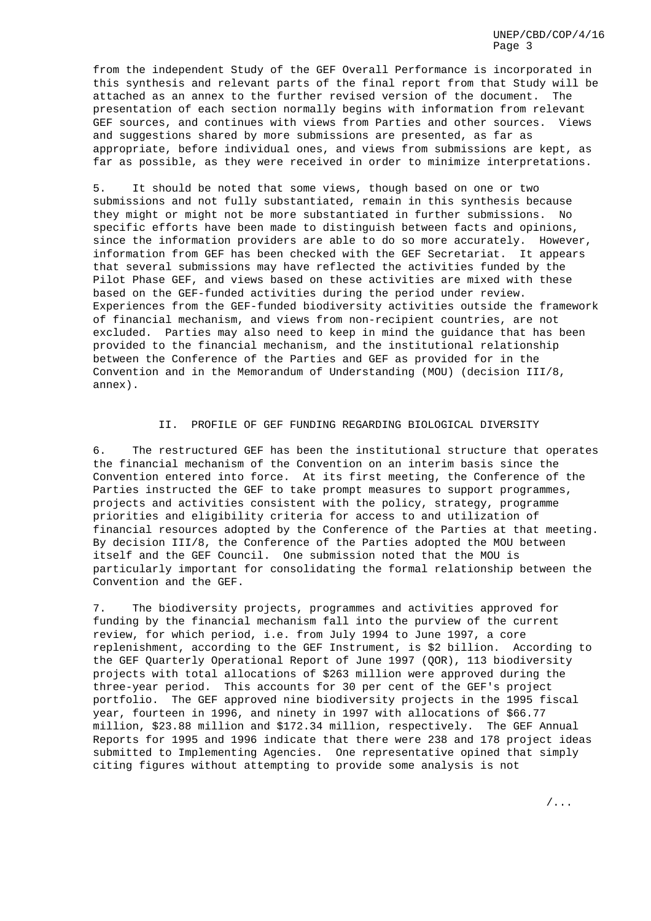from the independent Study of the GEF Overall Performance is incorporated in this synthesis and relevant parts of the final report from that Study will be attached as an annex to the further revised version of the document. The presentation of each section normally begins with information from relevant GEF sources, and continues with views from Parties and other sources. Views and suggestions shared by more submissions are presented, as far as appropriate, before individual ones, and views from submissions are kept, as far as possible, as they were received in order to minimize interpretations.

5. It should be noted that some views, though based on one or two submissions and not fully substantiated, remain in this synthesis because they might or might not be more substantiated in further submissions. No specific efforts have been made to distinguish between facts and opinions, since the information providers are able to do so more accurately. However, information from GEF has been checked with the GEF Secretariat. It appears that several submissions may have reflected the activities funded by the Pilot Phase GEF, and views based on these activities are mixed with these based on the GEF-funded activities during the period under review. Experiences from the GEF-funded biodiversity activities outside the framework of financial mechanism, and views from non-recipient countries, are not excluded. Parties may also need to keep in mind the guidance that has been provided to the financial mechanism, and the institutional relationship between the Conference of the Parties and GEF as provided for in the Convention and in the Memorandum of Understanding (MOU) (decision III/8, annex).

## II. PROFILE OF GEF FUNDING REGARDING BIOLOGICAL DIVERSITY

6. The restructured GEF has been the institutional structure that operates the financial mechanism of the Convention on an interim basis since the Convention entered into force. At its first meeting, the Conference of the Parties instructed the GEF to take prompt measures to support programmes, projects and activities consistent with the policy, strategy, programme priorities and eligibility criteria for access to and utilization of financial resources adopted by the Conference of the Parties at that meeting. By decision III/8, the Conference of the Parties adopted the MOU between itself and the GEF Council. One submission noted that the MOU is particularly important for consolidating the formal relationship between the Convention and the GEF.

7. The biodiversity projects, programmes and activities approved for funding by the financial mechanism fall into the purview of the current review, for which period, i.e. from July 1994 to June 1997, a core replenishment, according to the GEF Instrument, is \$2 billion. According to the GEF Quarterly Operational Report of June 1997 (QOR), 113 biodiversity projects with total allocations of \$263 million were approved during the three-year period. This accounts for 30 per cent of the GEF's project portfolio. The GEF approved nine biodiversity projects in the 1995 fiscal year, fourteen in 1996, and ninety in 1997 with allocations of \$66.77 million, \$23.88 million and \$172.34 million, respectively. The GEF Annual Reports for 1995 and 1996 indicate that there were 238 and 178 project ideas submitted to Implementing Agencies. One representative opined that simply citing figures without attempting to provide some analysis is not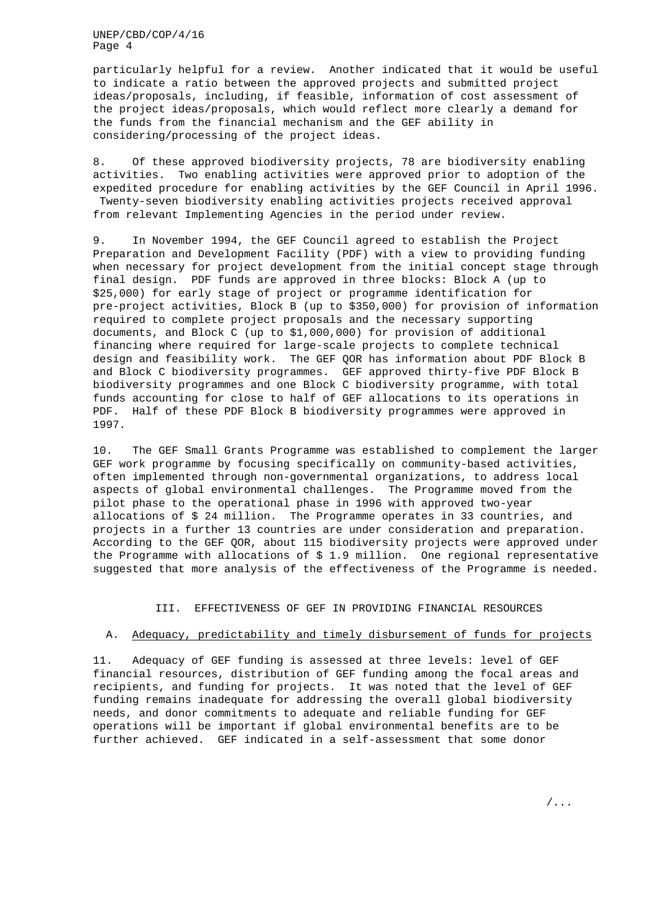particularly helpful for a review. Another indicated that it would be useful to indicate a ratio between the approved projects and submitted project ideas/proposals, including, if feasible, information of cost assessment of the project ideas/proposals, which would reflect more clearly a demand for the funds from the financial mechanism and the GEF ability in considering/processing of the project ideas.

8. Of these approved biodiversity projects, 78 are biodiversity enabling activities. Two enabling activities were approved prior to adoption of the expedited procedure for enabling activities by the GEF Council in April 1996. Twenty-seven biodiversity enabling activities projects received approval from relevant Implementing Agencies in the period under review.

9. In November 1994, the GEF Council agreed to establish the Project Preparation and Development Facility (PDF) with a view to providing funding when necessary for project development from the initial concept stage through final design. PDF funds are approved in three blocks: Block A (up to \$25,000) for early stage of project or programme identification for pre-project activities, Block B (up to \$350,000) for provision of information required to complete project proposals and the necessary supporting documents, and Block C (up to \$1,000,000) for provision of additional financing where required for large-scale projects to complete technical design and feasibility work. The GEF QOR has information about PDF Block B and Block C biodiversity programmes. GEF approved thirty-five PDF Block B biodiversity programmes and one Block C biodiversity programme, with total funds accounting for close to half of GEF allocations to its operations in PDF. Half of these PDF Block B biodiversity programmes were approved in 1997.

10. The GEF Small Grants Programme was established to complement the larger GEF work programme by focusing specifically on community-based activities, often implemented through non-governmental organizations, to address local aspects of global environmental challenges. The Programme moved from the pilot phase to the operational phase in 1996 with approved two-year allocations of \$ 24 million. The Programme operates in 33 countries, and projects in a further 13 countries are under consideration and preparation. According to the GEF QOR, about 115 biodiversity projects were approved under the Programme with allocations of \$ 1.9 million. One regional representative suggested that more analysis of the effectiveness of the Programme is needed.

III. EFFECTIVENESS OF GEF IN PROVIDING FINANCIAL RESOURCES

#### A. Adequacy, predictability and timely disbursement of funds for projects

11. Adequacy of GEF funding is assessed at three levels: level of GEF financial resources, distribution of GEF funding among the focal areas and recipients, and funding for projects. It was noted that the level of GEF funding remains inadequate for addressing the overall global biodiversity needs, and donor commitments to adequate and reliable funding for GEF operations will be important if global environmental benefits are to be further achieved. GEF indicated in a self-assessment that some donor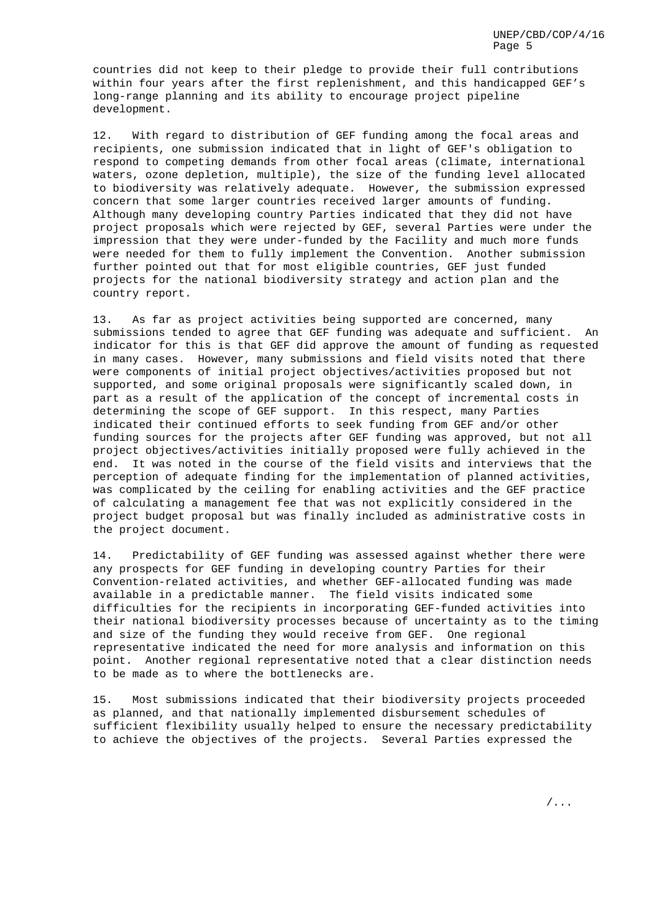countries did not keep to their pledge to provide their full contributions within four years after the first replenishment, and this handicapped GEF's long-range planning and its ability to encourage project pipeline development.

12. With regard to distribution of GEF funding among the focal areas and recipients, one submission indicated that in light of GEF's obligation to respond to competing demands from other focal areas (climate, international waters, ozone depletion, multiple), the size of the funding level allocated to biodiversity was relatively adequate. However, the submission expressed concern that some larger countries received larger amounts of funding. Although many developing country Parties indicated that they did not have project proposals which were rejected by GEF, several Parties were under the impression that they were under-funded by the Facility and much more funds were needed for them to fully implement the Convention. Another submission further pointed out that for most eligible countries, GEF just funded projects for the national biodiversity strategy and action plan and the country report.

13. As far as project activities being supported are concerned, many submissions tended to agree that GEF funding was adequate and sufficient. An indicator for this is that GEF did approve the amount of funding as requested in many cases. However, many submissions and field visits noted that there were components of initial project objectives/activities proposed but not supported, and some original proposals were significantly scaled down, in part as a result of the application of the concept of incremental costs in determining the scope of GEF support. In this respect, many Parties indicated their continued efforts to seek funding from GEF and/or other funding sources for the projects after GEF funding was approved, but not all project objectives/activities initially proposed were fully achieved in the end. It was noted in the course of the field visits and interviews that the perception of adequate finding for the implementation of planned activities, was complicated by the ceiling for enabling activities and the GEF practice of calculating a management fee that was not explicitly considered in the project budget proposal but was finally included as administrative costs in the project document.

14. Predictability of GEF funding was assessed against whether there were any prospects for GEF funding in developing country Parties for their Convention-related activities, and whether GEF-allocated funding was made available in a predictable manner. The field visits indicated some difficulties for the recipients in incorporating GEF-funded activities into their national biodiversity processes because of uncertainty as to the timing and size of the funding they would receive from GEF. One regional representative indicated the need for more analysis and information on this point. Another regional representative noted that a clear distinction needs to be made as to where the bottlenecks are.

15. Most submissions indicated that their biodiversity projects proceeded as planned, and that nationally implemented disbursement schedules of sufficient flexibility usually helped to ensure the necessary predictability to achieve the objectives of the projects. Several Parties expressed the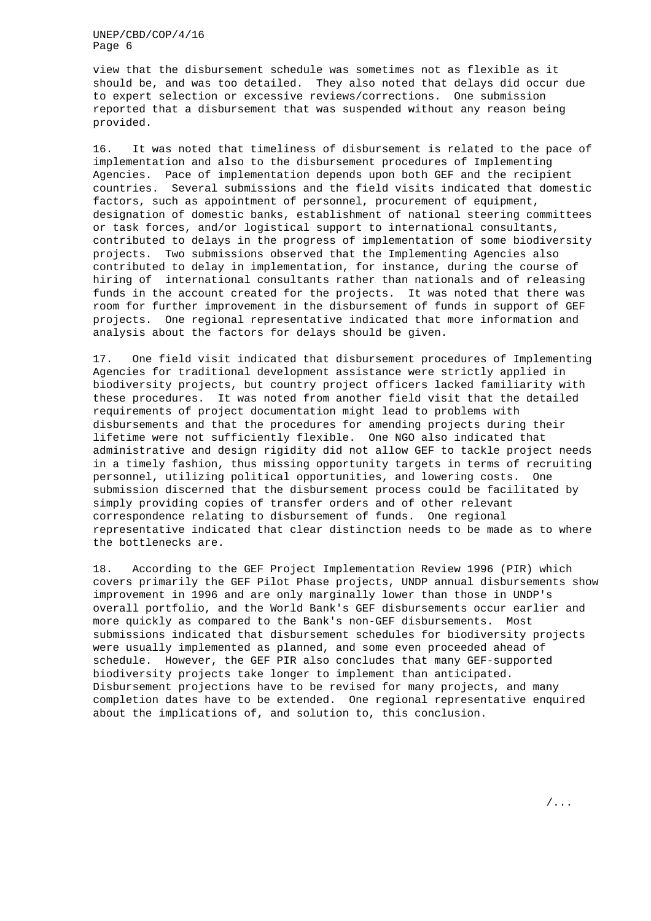view that the disbursement schedule was sometimes not as flexible as it should be, and was too detailed. They also noted that delays did occur due to expert selection or excessive reviews/corrections. One submission reported that a disbursement that was suspended without any reason being provided.

16. It was noted that timeliness of disbursement is related to the pace of implementation and also to the disbursement procedures of Implementing Agencies. Pace of implementation depends upon both GEF and the recipient countries. Several submissions and the field visits indicated that domestic factors, such as appointment of personnel, procurement of equipment, designation of domestic banks, establishment of national steering committees or task forces, and/or logistical support to international consultants, contributed to delays in the progress of implementation of some biodiversity projects. Two submissions observed that the Implementing Agencies also contributed to delay in implementation, for instance, during the course of hiring of international consultants rather than nationals and of releasing funds in the account created for the projects. It was noted that there was room for further improvement in the disbursement of funds in support of GEF projects. One regional representative indicated that more information and analysis about the factors for delays should be given.

17. One field visit indicated that disbursement procedures of Implementing Agencies for traditional development assistance were strictly applied in biodiversity projects, but country project officers lacked familiarity with these procedures. It was noted from another field visit that the detailed requirements of project documentation might lead to problems with disbursements and that the procedures for amending projects during their lifetime were not sufficiently flexible. One NGO also indicated that administrative and design rigidity did not allow GEF to tackle project needs in a timely fashion, thus missing opportunity targets in terms of recruiting personnel, utilizing political opportunities, and lowering costs. One submission discerned that the disbursement process could be facilitated by simply providing copies of transfer orders and of other relevant correspondence relating to disbursement of funds. One regional representative indicated that clear distinction needs to be made as to where the bottlenecks are.

18. According to the GEF Project Implementation Review 1996 (PIR) which covers primarily the GEF Pilot Phase projects, UNDP annual disbursements show improvement in 1996 and are only marginally lower than those in UNDP's overall portfolio, and the World Bank's GEF disbursements occur earlier and more quickly as compared to the Bank's non-GEF disbursements. Most submissions indicated that disbursement schedules for biodiversity projects were usually implemented as planned, and some even proceeded ahead of schedule. However, the GEF PIR also concludes that many GEF-supported biodiversity projects take longer to implement than anticipated. Disbursement projections have to be revised for many projects, and many completion dates have to be extended. One regional representative enquired about the implications of, and solution to, this conclusion.

/...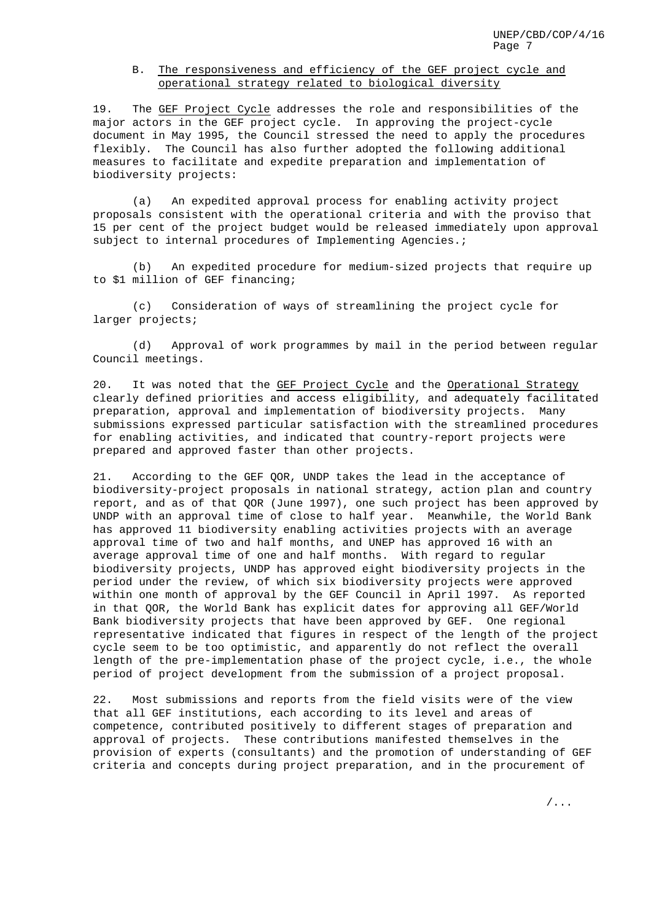## B. The responsiveness and efficiency of the GEF project cycle and operational strategy related to biological diversity

19. The GEF Project Cycle addresses the role and responsibilities of the major actors in the GEF project cycle. In approving the project-cycle document in May 1995, the Council stressed the need to apply the procedures flexibly. The Council has also further adopted the following additional measures to facilitate and expedite preparation and implementation of biodiversity projects:

(a) An expedited approval process for enabling activity project proposals consistent with the operational criteria and with the proviso that 15 per cent of the project budget would be released immediately upon approval subject to internal procedures of Implementing Agencies.;

(b) An expedited procedure for medium-sized projects that require up to \$1 million of GEF financing;

(c) Consideration of ways of streamlining the project cycle for larger projects;

(d) Approval of work programmes by mail in the period between regular Council meetings.

20. It was noted that the GEF Project Cycle and the Operational Strategy clearly defined priorities and access eligibility, and adequately facilitated preparation, approval and implementation of biodiversity projects. Many submissions expressed particular satisfaction with the streamlined procedures for enabling activities, and indicated that country-report projects were prepared and approved faster than other projects.

21. According to the GEF QOR, UNDP takes the lead in the acceptance of biodiversity-project proposals in national strategy, action plan and country report, and as of that QOR (June 1997), one such project has been approved by UNDP with an approval time of close to half year. Meanwhile, the World Bank has approved 11 biodiversity enabling activities projects with an average approval time of two and half months, and UNEP has approved 16 with an average approval time of one and half months. With regard to regular biodiversity projects, UNDP has approved eight biodiversity projects in the period under the review, of which six biodiversity projects were approved within one month of approval by the GEF Council in April 1997. As reported in that QOR, the World Bank has explicit dates for approving all GEF/World Bank biodiversity projects that have been approved by GEF. One regional representative indicated that figures in respect of the length of the project cycle seem to be too optimistic, and apparently do not reflect the overall length of the pre-implementation phase of the project cycle, i.e., the whole period of project development from the submission of a project proposal.

22. Most submissions and reports from the field visits were of the view that all GEF institutions, each according to its level and areas of competence, contributed positively to different stages of preparation and approval of projects. These contributions manifested themselves in the provision of experts (consultants) and the promotion of understanding of GEF criteria and concepts during project preparation, and in the procurement of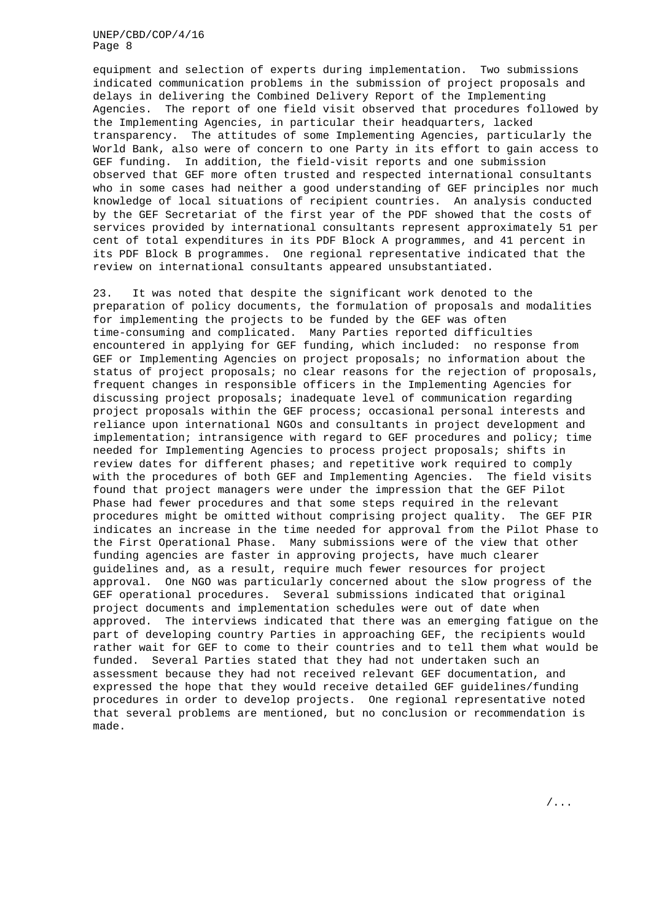equipment and selection of experts during implementation. Two submissions indicated communication problems in the submission of project proposals and delays in delivering the Combined Delivery Report of the Implementing Agencies. The report of one field visit observed that procedures followed by the Implementing Agencies, in particular their headquarters, lacked transparency. The attitudes of some Implementing Agencies, particularly the World Bank, also were of concern to one Party in its effort to gain access to GEF funding. In addition, the field-visit reports and one submission observed that GEF more often trusted and respected international consultants who in some cases had neither a good understanding of GEF principles nor much knowledge of local situations of recipient countries. An analysis conducted by the GEF Secretariat of the first year of the PDF showed that the costs of services provided by international consultants represent approximately 51 per cent of total expenditures in its PDF Block A programmes, and 41 percent in its PDF Block B programmes. One regional representative indicated that the review on international consultants appeared unsubstantiated.

23. It was noted that despite the significant work denoted to the preparation of policy documents, the formulation of proposals and modalities for implementing the projects to be funded by the GEF was often time-consuming and complicated. Many Parties reported difficulties encountered in applying for GEF funding, which included: no response from GEF or Implementing Agencies on project proposals; no information about the status of project proposals; no clear reasons for the rejection of proposals, frequent changes in responsible officers in the Implementing Agencies for discussing project proposals; inadequate level of communication regarding project proposals within the GEF process; occasional personal interests and reliance upon international NGOs and consultants in project development and implementation; intransigence with regard to GEF procedures and policy; time needed for Implementing Agencies to process project proposals; shifts in review dates for different phases; and repetitive work required to comply with the procedures of both GEF and Implementing Agencies. The field visits found that project managers were under the impression that the GEF Pilot Phase had fewer procedures and that some steps required in the relevant procedures might be omitted without comprising project quality. The GEF PIR indicates an increase in the time needed for approval from the Pilot Phase to the First Operational Phase. Many submissions were of the view that other funding agencies are faster in approving projects, have much clearer guidelines and, as a result, require much fewer resources for project approval. One NGO was particularly concerned about the slow progress of the GEF operational procedures. Several submissions indicated that original project documents and implementation schedules were out of date when approved. The interviews indicated that there was an emerging fatigue on the part of developing country Parties in approaching GEF, the recipients would rather wait for GEF to come to their countries and to tell them what would be funded. Several Parties stated that they had not undertaken such an assessment because they had not received relevant GEF documentation, and expressed the hope that they would receive detailed GEF guidelines/funding procedures in order to develop projects. One regional representative noted that several problems are mentioned, but no conclusion or recommendation is made.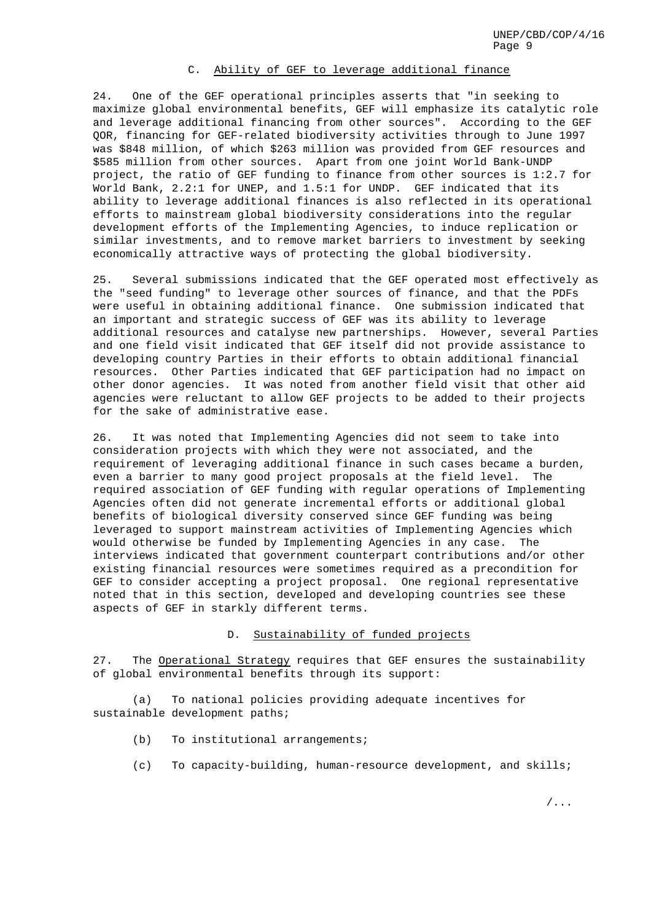## C. Ability of GEF to leverage additional finance

24. One of the GEF operational principles asserts that "in seeking to maximize global environmental benefits, GEF will emphasize its catalytic role and leverage additional financing from other sources". According to the GEF QOR, financing for GEF-related biodiversity activities through to June 1997 was \$848 million, of which \$263 million was provided from GEF resources and \$585 million from other sources. Apart from one joint World Bank-UNDP project, the ratio of GEF funding to finance from other sources is 1:2.7 for World Bank, 2.2:1 for UNEP, and 1.5:1 for UNDP. GEF indicated that its ability to leverage additional finances is also reflected in its operational efforts to mainstream global biodiversity considerations into the regular development efforts of the Implementing Agencies, to induce replication or similar investments, and to remove market barriers to investment by seeking economically attractive ways of protecting the global biodiversity.

25. Several submissions indicated that the GEF operated most effectively as the "seed funding" to leverage other sources of finance, and that the PDFs were useful in obtaining additional finance. One submission indicated that an important and strategic success of GEF was its ability to leverage additional resources and catalyse new partnerships. However, several Parties and one field visit indicated that GEF itself did not provide assistance to developing country Parties in their efforts to obtain additional financial resources. Other Parties indicated that GEF participation had no impact on other donor agencies. It was noted from another field visit that other aid agencies were reluctant to allow GEF projects to be added to their projects for the sake of administrative ease.

26. It was noted that Implementing Agencies did not seem to take into consideration projects with which they were not associated, and the requirement of leveraging additional finance in such cases became a burden, even a barrier to many good project proposals at the field level. The required association of GEF funding with regular operations of Implementing Agencies often did not generate incremental efforts or additional global benefits of biological diversity conserved since GEF funding was being leveraged to support mainstream activities of Implementing Agencies which would otherwise be funded by Implementing Agencies in any case. The interviews indicated that government counterpart contributions and/or other existing financial resources were sometimes required as a precondition for GEF to consider accepting a project proposal. One regional representative noted that in this section, developed and developing countries see these aspects of GEF in starkly different terms.

#### D. Sustainability of funded projects

27. The Operational Strategy requires that GEF ensures the sustainability of global environmental benefits through its support:

(a) To national policies providing adequate incentives for sustainable development paths;

- (b) To institutional arrangements;
- (c) To capacity-building, human-resource development, and skills;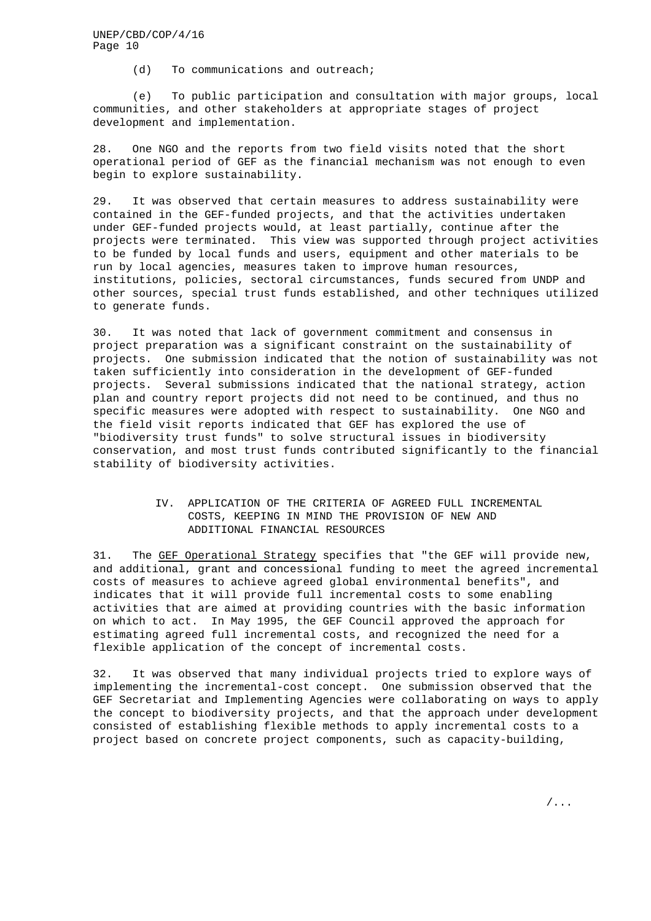(d) To communications and outreach;

(e) To public participation and consultation with major groups, local communities, and other stakeholders at appropriate stages of project development and implementation.

28. One NGO and the reports from two field visits noted that the short operational period of GEF as the financial mechanism was not enough to even begin to explore sustainability.

29. It was observed that certain measures to address sustainability were contained in the GEF-funded projects, and that the activities undertaken under GEF-funded projects would, at least partially, continue after the projects were terminated. This view was supported through project activities to be funded by local funds and users, equipment and other materials to be run by local agencies, measures taken to improve human resources, institutions, policies, sectoral circumstances, funds secured from UNDP and other sources, special trust funds established, and other techniques utilized to generate funds.

30. It was noted that lack of government commitment and consensus in project preparation was a significant constraint on the sustainability of projects. One submission indicated that the notion of sustainability was not taken sufficiently into consideration in the development of GEF-funded projects. Several submissions indicated that the national strategy, action plan and country report projects did not need to be continued, and thus no specific measures were adopted with respect to sustainability. One NGO and the field visit reports indicated that GEF has explored the use of "biodiversity trust funds" to solve structural issues in biodiversity conservation, and most trust funds contributed significantly to the financial stability of biodiversity activities.

# IV. APPLICATION OF THE CRITERIA OF AGREED FULL INCREMENTAL COSTS, KEEPING IN MIND THE PROVISION OF NEW AND ADDITIONAL FINANCIAL RESOURCES

31. The GEF Operational Strategy specifies that "the GEF will provide new, and additional, grant and concessional funding to meet the agreed incremental costs of measures to achieve agreed global environmental benefits", and indicates that it will provide full incremental costs to some enabling activities that are aimed at providing countries with the basic information on which to act. In May 1995, the GEF Council approved the approach for estimating agreed full incremental costs, and recognized the need for a flexible application of the concept of incremental costs.

32. It was observed that many individual projects tried to explore ways of implementing the incremental-cost concept. One submission observed that the GEF Secretariat and Implementing Agencies were collaborating on ways to apply the concept to biodiversity projects, and that the approach under development consisted of establishing flexible methods to apply incremental costs to a project based on concrete project components, such as capacity-building,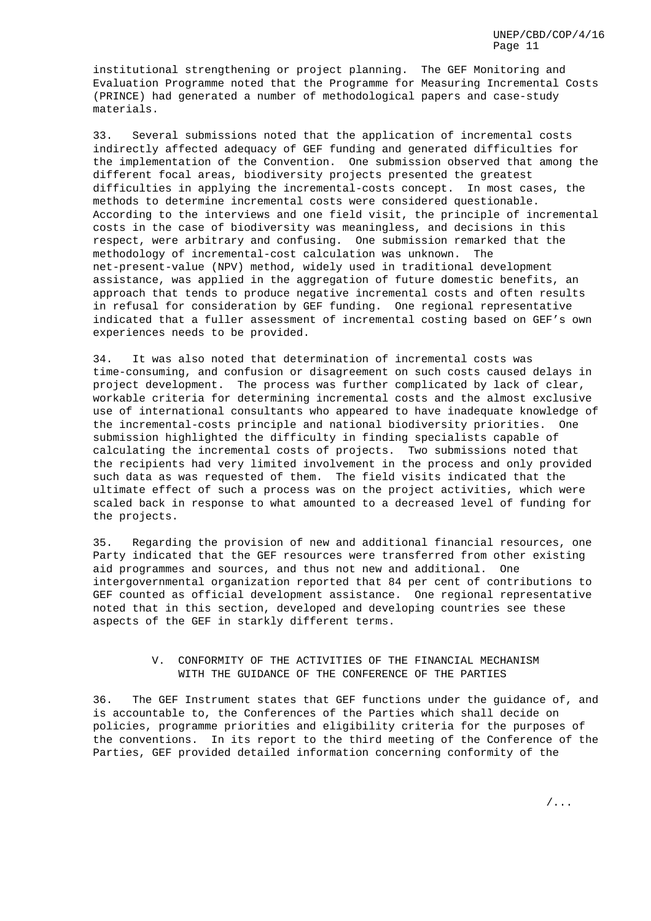institutional strengthening or project planning. The GEF Monitoring and Evaluation Programme noted that the Programme for Measuring Incremental Costs (PRINCE) had generated a number of methodological papers and case-study materials.

33. Several submissions noted that the application of incremental costs indirectly affected adequacy of GEF funding and generated difficulties for the implementation of the Convention. One submission observed that among the different focal areas, biodiversity projects presented the greatest difficulties in applying the incremental-costs concept. In most cases, the methods to determine incremental costs were considered questionable. According to the interviews and one field visit, the principle of incremental costs in the case of biodiversity was meaningless, and decisions in this respect, were arbitrary and confusing. One submission remarked that the methodology of incremental-cost calculation was unknown. The net-present-value (NPV) method, widely used in traditional development assistance, was applied in the aggregation of future domestic benefits, an approach that tends to produce negative incremental costs and often results in refusal for consideration by GEF funding. One regional representative indicated that a fuller assessment of incremental costing based on GEF's own experiences needs to be provided.

34. It was also noted that determination of incremental costs was time-consuming, and confusion or disagreement on such costs caused delays in project development. The process was further complicated by lack of clear, workable criteria for determining incremental costs and the almost exclusive use of international consultants who appeared to have inadequate knowledge of the incremental-costs principle and national biodiversity priorities. One submission highlighted the difficulty in finding specialists capable of calculating the incremental costs of projects. Two submissions noted that the recipients had very limited involvement in the process and only provided such data as was requested of them. The field visits indicated that the ultimate effect of such a process was on the project activities, which were scaled back in response to what amounted to a decreased level of funding for the projects.

35. Regarding the provision of new and additional financial resources, one Party indicated that the GEF resources were transferred from other existing aid programmes and sources, and thus not new and additional. One intergovernmental organization reported that 84 per cent of contributions to GEF counted as official development assistance. One regional representative noted that in this section, developed and developing countries see these aspects of the GEF in starkly different terms.

## V. CONFORMITY OF THE ACTIVITIES OF THE FINANCIAL MECHANISM WITH THE GUIDANCE OF THE CONFERENCE OF THE PARTIES

36. The GEF Instrument states that GEF functions under the guidance of, and is accountable to, the Conferences of the Parties which shall decide on policies, programme priorities and eligibility criteria for the purposes of the conventions. In its report to the third meeting of the Conference of the Parties, GEF provided detailed information concerning conformity of the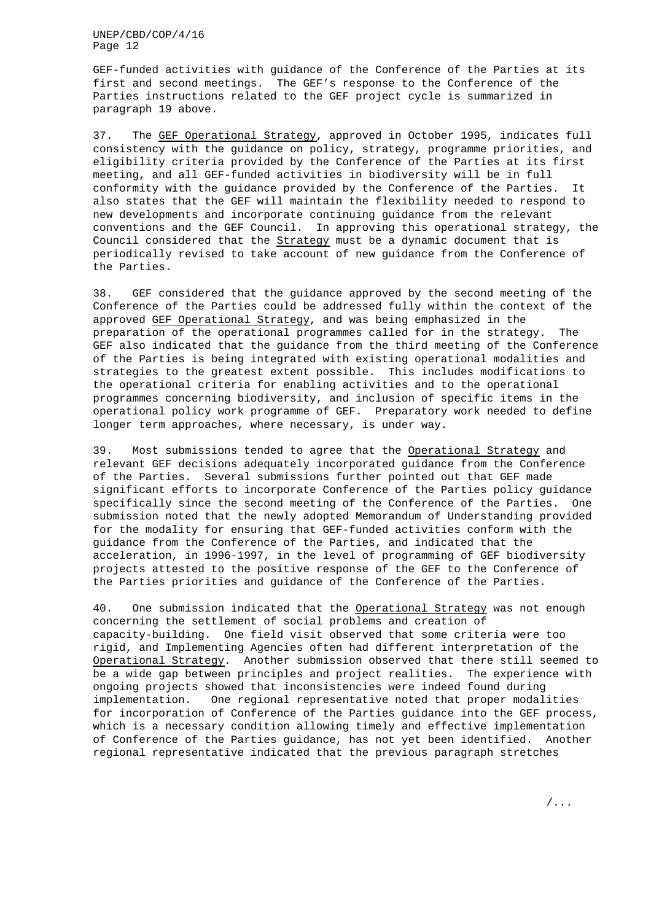GEF-funded activities with guidance of the Conference of the Parties at its first and second meetings. The GEF's response to the Conference of the Parties instructions related to the GEF project cycle is summarized in paragraph 19 above.

37. The GEF Operational Strategy, approved in October 1995, indicates full consistency with the guidance on policy, strategy, programme priorities, and eligibility criteria provided by the Conference of the Parties at its first meeting, and all GEF-funded activities in biodiversity will be in full conformity with the guidance provided by the Conference of the Parties. It also states that the GEF will maintain the flexibility needed to respond to new developments and incorporate continuing guidance from the relevant conventions and the GEF Council. In approving this operational strategy, the Council considered that the Strategy must be a dynamic document that is periodically revised to take account of new guidance from the Conference of the Parties.

38. GEF considered that the guidance approved by the second meeting of the Conference of the Parties could be addressed fully within the context of the approved GEF Operational Strategy, and was being emphasized in the preparation of the operational programmes called for in the strategy. The GEF also indicated that the guidance from the third meeting of the Conference of the Parties is being integrated with existing operational modalities and strategies to the greatest extent possible. This includes modifications to the operational criteria for enabling activities and to the operational programmes concerning biodiversity, and inclusion of specific items in the operational policy work programme of GEF. Preparatory work needed to define longer term approaches, where necessary, is under way.

39. Most submissions tended to agree that the Operational Strategy and relevant GEF decisions adequately incorporated guidance from the Conference of the Parties. Several submissions further pointed out that GEF made significant efforts to incorporate Conference of the Parties policy guidance specifically since the second meeting of the Conference of the Parties. One submission noted that the newly adopted Memorandum of Understanding provided for the modality for ensuring that GEF-funded activities conform with the guidance from the Conference of the Parties, and indicated that the acceleration, in 1996-1997, in the level of programming of GEF biodiversity projects attested to the positive response of the GEF to the Conference of the Parties priorities and guidance of the Conference of the Parties.

40. One submission indicated that the Operational Strategy was not enough concerning the settlement of social problems and creation of capacity-building. One field visit observed that some criteria were too rigid, and Implementing Agencies often had different interpretation of the Operational Strategy. Another submission observed that there still seemed to be a wide gap between principles and project realities. The experience with ongoing projects showed that inconsistencies were indeed found during implementation. One regional representative noted that proper modalities for incorporation of Conference of the Parties guidance into the GEF process, which is a necessary condition allowing timely and effective implementation of Conference of the Parties guidance, has not yet been identified. Another regional representative indicated that the previous paragraph stretches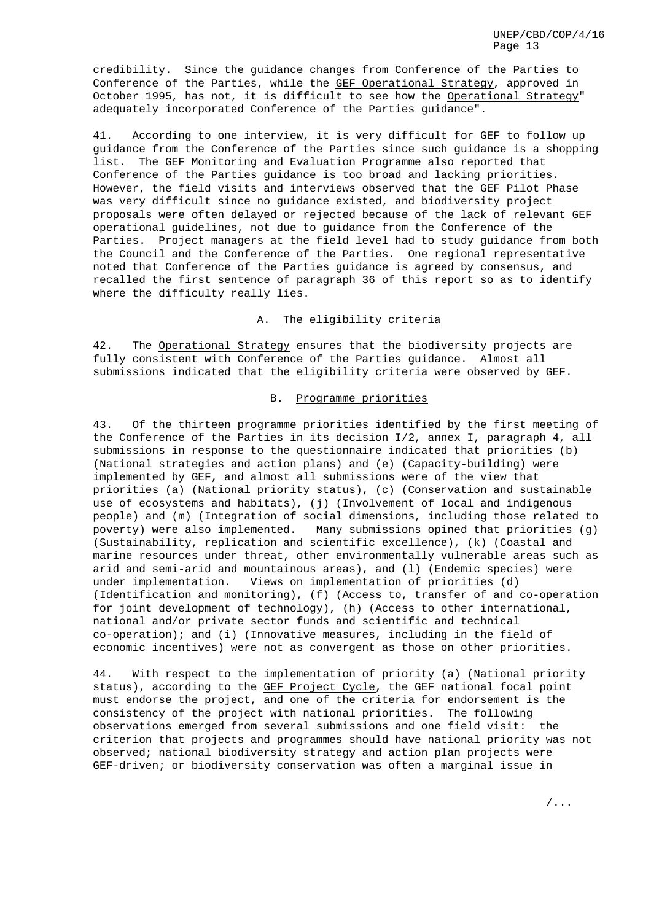credibility. Since the guidance changes from Conference of the Parties to Conference of the Parties, while the GEF Operational Strategy, approved in October 1995, has not, it is difficult to see how the Operational Strategy" adequately incorporated Conference of the Parties guidance".

41. According to one interview, it is very difficult for GEF to follow up guidance from the Conference of the Parties since such guidance is a shopping list. The GEF Monitoring and Evaluation Programme also reported that Conference of the Parties guidance is too broad and lacking priorities. However, the field visits and interviews observed that the GEF Pilot Phase was very difficult since no guidance existed, and biodiversity project proposals were often delayed or rejected because of the lack of relevant GEF operational guidelines, not due to guidance from the Conference of the Parties. Project managers at the field level had to study guidance from both the Council and the Conference of the Parties. One regional representative noted that Conference of the Parties guidance is agreed by consensus, and recalled the first sentence of paragraph 36 of this report so as to identify where the difficulty really lies.

# A. The eligibility criteria

42. The Operational Strategy ensures that the biodiversity projects are fully consistent with Conference of the Parties guidance. Almost all submissions indicated that the eligibility criteria were observed by GEF.

# B. Programme priorities

43. Of the thirteen programme priorities identified by the first meeting of the Conference of the Parties in its decision I/2, annex I, paragraph 4, all submissions in response to the questionnaire indicated that priorities (b) (National strategies and action plans) and (e) (Capacity-building) were implemented by GEF, and almost all submissions were of the view that priorities (a) (National priority status), (c) (Conservation and sustainable use of ecosystems and habitats), (j) (Involvement of local and indigenous people) and (m) (Integration of social dimensions, including those related to poverty) were also implemented. Many submissions opined that priorities (g) (Sustainability, replication and scientific excellence), (k) (Coastal and marine resources under threat, other environmentally vulnerable areas such as arid and semi-arid and mountainous areas), and (l) (Endemic species) were under implementation. Views on implementation of priorities (d) (Identification and monitoring), (f) (Access to, transfer of and co-operation for joint development of technology), (h) (Access to other international, national and/or private sector funds and scientific and technical co-operation); and (i) (Innovative measures, including in the field of economic incentives) were not as convergent as those on other priorities.

44. With respect to the implementation of priority (a) (National priority status), according to the GEF Project Cycle, the GEF national focal point must endorse the project, and one of the criteria for endorsement is the consistency of the project with national priorities. The following observations emerged from several submissions and one field visit: the criterion that projects and programmes should have national priority was not observed; national biodiversity strategy and action plan projects were GEF-driven; or biodiversity conservation was often a marginal issue in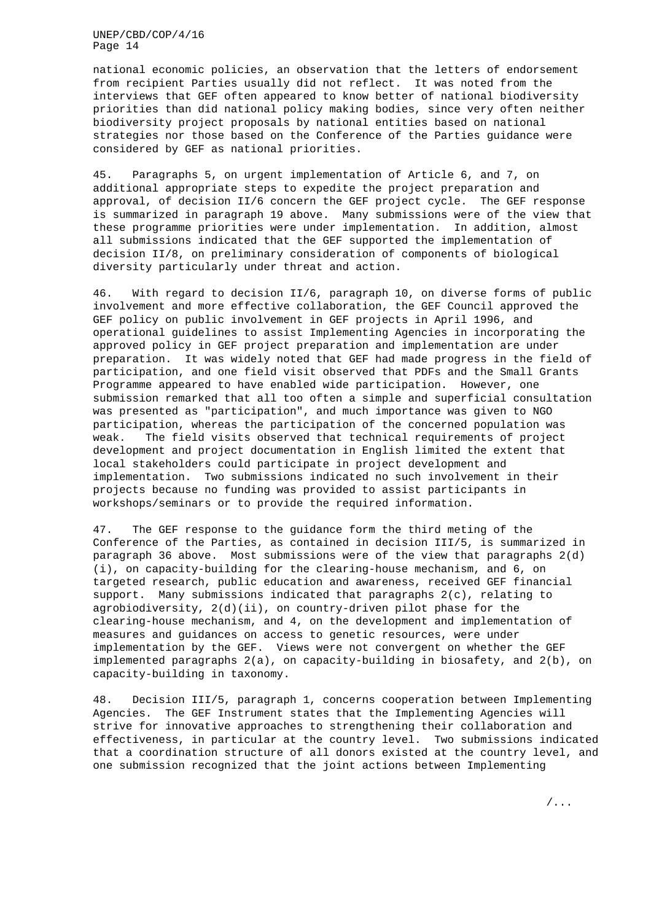national economic policies, an observation that the letters of endorsement from recipient Parties usually did not reflect. It was noted from the interviews that GEF often appeared to know better of national biodiversity priorities than did national policy making bodies, since very often neither biodiversity project proposals by national entities based on national strategies nor those based on the Conference of the Parties guidance were considered by GEF as national priorities.

45. Paragraphs 5, on urgent implementation of Article 6, and 7, on additional appropriate steps to expedite the project preparation and approval, of decision II/6 concern the GEF project cycle. The GEF response is summarized in paragraph 19 above. Many submissions were of the view that these programme priorities were under implementation. In addition, almost all submissions indicated that the GEF supported the implementation of decision II/8, on preliminary consideration of components of biological diversity particularly under threat and action.

46. With regard to decision II/6, paragraph 10, on diverse forms of public involvement and more effective collaboration, the GEF Council approved the GEF policy on public involvement in GEF projects in April 1996, and operational guidelines to assist Implementing Agencies in incorporating the approved policy in GEF project preparation and implementation are under preparation. It was widely noted that GEF had made progress in the field of participation, and one field visit observed that PDFs and the Small Grants Programme appeared to have enabled wide participation. However, one submission remarked that all too often a simple and superficial consultation was presented as "participation", and much importance was given to NGO participation, whereas the participation of the concerned population was weak. The field visits observed that technical requirements of project development and project documentation in English limited the extent that local stakeholders could participate in project development and implementation. Two submissions indicated no such involvement in their projects because no funding was provided to assist participants in workshops/seminars or to provide the required information.

47. The GEF response to the guidance form the third meting of the Conference of the Parties, as contained in decision III/5, is summarized in paragraph 36 above. Most submissions were of the view that paragraphs 2(d) (i), on capacity-building for the clearing-house mechanism, and 6, on targeted research, public education and awareness, received GEF financial support. Many submissions indicated that paragraphs 2(c), relating to agrobiodiversity,  $2(d)(ii)$ , on country-driven pilot phase for the clearing-house mechanism, and 4, on the development and implementation of measures and guidances on access to genetic resources, were under implementation by the GEF. Views were not convergent on whether the GEF implemented paragraphs 2(a), on capacity-building in biosafety, and 2(b), on capacity-building in taxonomy.

48. Decision III/5, paragraph 1, concerns cooperation between Implementing Agencies. The GEF Instrument states that the Implementing Agencies will strive for innovative approaches to strengthening their collaboration and effectiveness, in particular at the country level. Two submissions indicated that a coordination structure of all donors existed at the country level, and one submission recognized that the joint actions between Implementing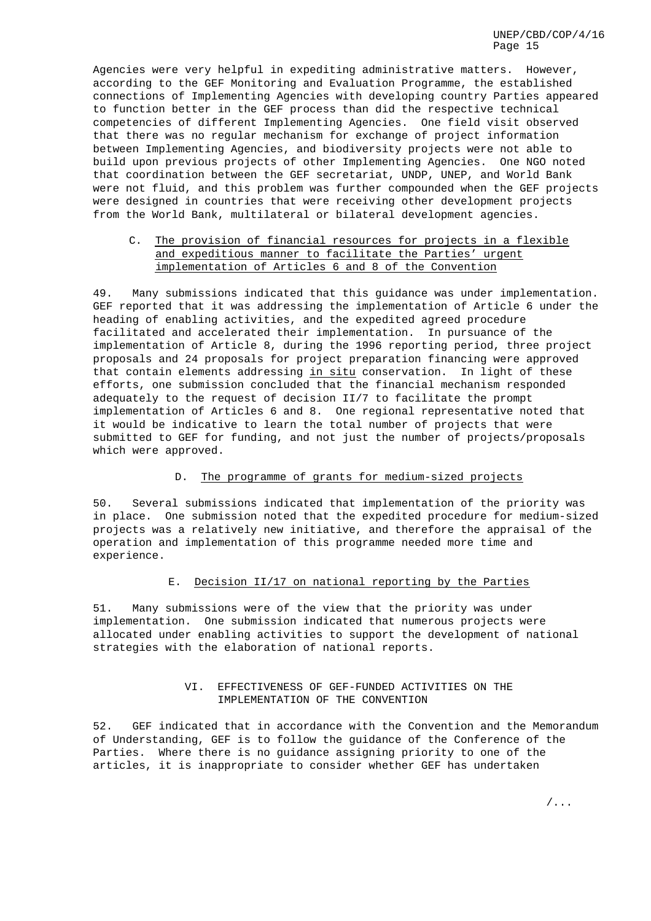Agencies were very helpful in expediting administrative matters. However, according to the GEF Monitoring and Evaluation Programme, the established connections of Implementing Agencies with developing country Parties appeared to function better in the GEF process than did the respective technical competencies of different Implementing Agencies. One field visit observed that there was no regular mechanism for exchange of project information between Implementing Agencies, and biodiversity projects were not able to build upon previous projects of other Implementing Agencies. One NGO noted that coordination between the GEF secretariat, UNDP, UNEP, and World Bank were not fluid, and this problem was further compounded when the GEF projects were designed in countries that were receiving other development projects from the World Bank, multilateral or bilateral development agencies.

# C. The provision of financial resources for projects in a flexible and expeditious manner to facilitate the Parties' urgent implementation of Articles 6 and 8 of the Convention

49. Many submissions indicated that this guidance was under implementation. GEF reported that it was addressing the implementation of Article 6 under the heading of enabling activities, and the expedited agreed procedure facilitated and accelerated their implementation. In pursuance of the implementation of Article 8, during the 1996 reporting period, three project proposals and 24 proposals for project preparation financing were approved that contain elements addressing in situ conservation. In light of these efforts, one submission concluded that the financial mechanism responded adequately to the request of decision II/7 to facilitate the prompt implementation of Articles 6 and 8. One regional representative noted that it would be indicative to learn the total number of projects that were submitted to GEF for funding, and not just the number of projects/proposals which were approved.

# D. The programme of grants for medium-sized projects

50. Several submissions indicated that implementation of the priority was in place. One submission noted that the expedited procedure for medium-sized projects was a relatively new initiative, and therefore the appraisal of the operation and implementation of this programme needed more time and experience.

## E. Decision II/17 on national reporting by the Parties

51. Many submissions were of the view that the priority was under implementation. One submission indicated that numerous projects were allocated under enabling activities to support the development of national strategies with the elaboration of national reports.

## VI. EFFECTIVENESS OF GEF-FUNDED ACTIVITIES ON THE IMPLEMENTATION OF THE CONVENTION

52. GEF indicated that in accordance with the Convention and the Memorandum of Understanding, GEF is to follow the guidance of the Conference of the Parties. Where there is no guidance assigning priority to one of the articles, it is inappropriate to consider whether GEF has undertaken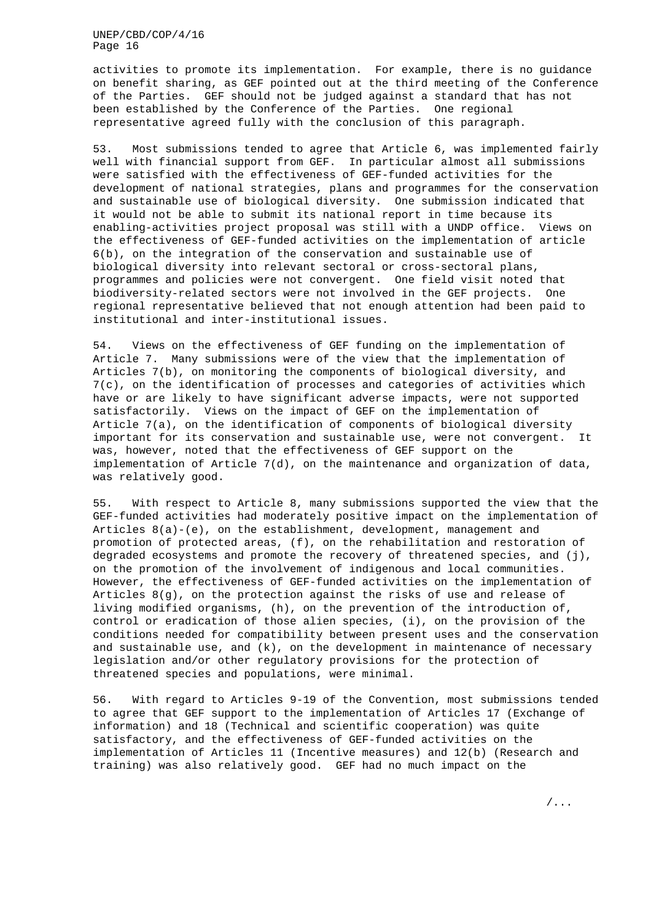activities to promote its implementation. For example, there is no guidance on benefit sharing, as GEF pointed out at the third meeting of the Conference of the Parties. GEF should not be judged against a standard that has not been established by the Conference of the Parties. One regional representative agreed fully with the conclusion of this paragraph.

53. Most submissions tended to agree that Article 6, was implemented fairly well with financial support from GEF. In particular almost all submissions were satisfied with the effectiveness of GEF-funded activities for the development of national strategies, plans and programmes for the conservation and sustainable use of biological diversity. One submission indicated that it would not be able to submit its national report in time because its enabling-activities project proposal was still with a UNDP office. Views on the effectiveness of GEF-funded activities on the implementation of article 6(b), on the integration of the conservation and sustainable use of biological diversity into relevant sectoral or cross-sectoral plans, programmes and policies were not convergent. One field visit noted that biodiversity-related sectors were not involved in the GEF projects. One regional representative believed that not enough attention had been paid to institutional and inter-institutional issues.

54. Views on the effectiveness of GEF funding on the implementation of Article 7. Many submissions were of the view that the implementation of Articles 7(b), on monitoring the components of biological diversity, and 7(c), on the identification of processes and categories of activities which have or are likely to have significant adverse impacts, were not supported satisfactorily. Views on the impact of GEF on the implementation of Article 7(a), on the identification of components of biological diversity important for its conservation and sustainable use, were not convergent. It was, however, noted that the effectiveness of GEF support on the implementation of Article 7(d), on the maintenance and organization of data, was relatively good.

55. With respect to Article 8, many submissions supported the view that the GEF-funded activities had moderately positive impact on the implementation of Articles 8(a)-(e), on the establishment, development, management and promotion of protected areas, (f), on the rehabilitation and restoration of degraded ecosystems and promote the recovery of threatened species, and (j), on the promotion of the involvement of indigenous and local communities. However, the effectiveness of GEF-funded activities on the implementation of Articles 8(g), on the protection against the risks of use and release of living modified organisms, (h), on the prevention of the introduction of, control or eradication of those alien species, (i), on the provision of the conditions needed for compatibility between present uses and the conservation and sustainable use, and  $(k)$ , on the development in maintenance of necessary legislation and/or other regulatory provisions for the protection of threatened species and populations, were minimal.

56. With regard to Articles 9-19 of the Convention, most submissions tended to agree that GEF support to the implementation of Articles 17 (Exchange of information) and 18 (Technical and scientific cooperation) was quite satisfactory, and the effectiveness of GEF-funded activities on the implementation of Articles 11 (Incentive measures) and 12(b) (Research and training) was also relatively good. GEF had no much impact on the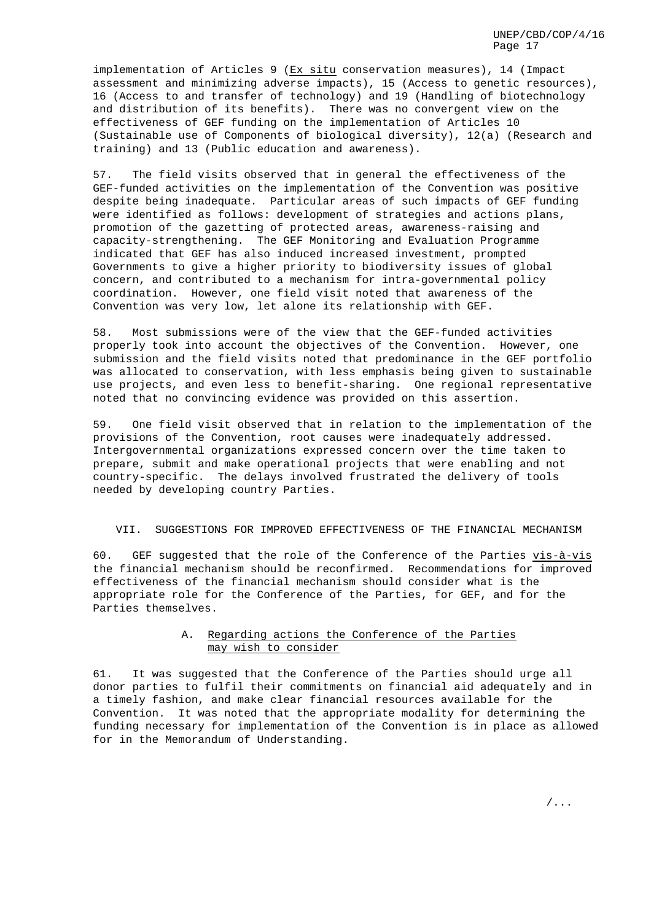implementation of Articles 9 (Ex situ conservation measures), 14 (Impact assessment and minimizing adverse impacts), 15 (Access to genetic resources), 16 (Access to and transfer of technology) and 19 (Handling of biotechnology and distribution of its benefits). There was no convergent view on the effectiveness of GEF funding on the implementation of Articles 10 (Sustainable use of Components of biological diversity), 12(a) (Research and training) and 13 (Public education and awareness).

57. The field visits observed that in general the effectiveness of the GEF-funded activities on the implementation of the Convention was positive despite being inadequate. Particular areas of such impacts of GEF funding were identified as follows: development of strategies and actions plans, promotion of the gazetting of protected areas, awareness-raising and capacity-strengthening. The GEF Monitoring and Evaluation Programme indicated that GEF has also induced increased investment, prompted Governments to give a higher priority to biodiversity issues of global concern, and contributed to a mechanism for intra-governmental policy coordination. However, one field visit noted that awareness of the Convention was very low, let alone its relationship with GEF.

58. Most submissions were of the view that the GEF-funded activities properly took into account the objectives of the Convention. However, one submission and the field visits noted that predominance in the GEF portfolio was allocated to conservation, with less emphasis being given to sustainable use projects, and even less to benefit-sharing. One regional representative noted that no convincing evidence was provided on this assertion.

59. One field visit observed that in relation to the implementation of the provisions of the Convention, root causes were inadequately addressed. Intergovernmental organizations expressed concern over the time taken to prepare, submit and make operational projects that were enabling and not country-specific. The delays involved frustrated the delivery of tools needed by developing country Parties.

#### VII. SUGGESTIONS FOR IMPROVED EFFECTIVENESS OF THE FINANCIAL MECHANISM

60. GEF suggested that the role of the Conference of the Parties vis-à-vis the financial mechanism should be reconfirmed. Recommendations for improved effectiveness of the financial mechanism should consider what is the appropriate role for the Conference of the Parties, for GEF, and for the Parties themselves.

# A. Regarding actions the Conference of the Parties may wish to consider

61. It was suggested that the Conference of the Parties should urge all donor parties to fulfil their commitments on financial aid adequately and in a timely fashion, and make clear financial resources available for the Convention. It was noted that the appropriate modality for determining the funding necessary for implementation of the Convention is in place as allowed for in the Memorandum of Understanding.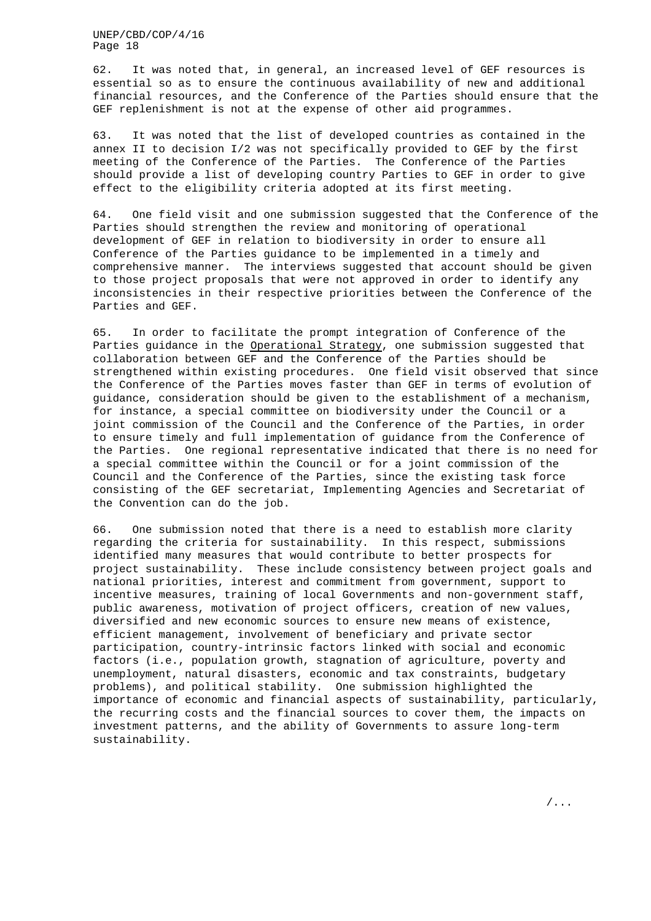62. It was noted that, in general, an increased level of GEF resources is essential so as to ensure the continuous availability of new and additional financial resources, and the Conference of the Parties should ensure that the GEF replenishment is not at the expense of other aid programmes.

63. It was noted that the list of developed countries as contained in the annex II to decision I/2 was not specifically provided to GEF by the first meeting of the Conference of the Parties. The Conference of the Parties should provide a list of developing country Parties to GEF in order to give effect to the eligibility criteria adopted at its first meeting.

64. One field visit and one submission suggested that the Conference of the Parties should strengthen the review and monitoring of operational development of GEF in relation to biodiversity in order to ensure all Conference of the Parties guidance to be implemented in a timely and comprehensive manner. The interviews suggested that account should be given to those project proposals that were not approved in order to identify any inconsistencies in their respective priorities between the Conference of the Parties and GEF.

65. In order to facilitate the prompt integration of Conference of the Parties guidance in the Operational Strategy, one submission suggested that collaboration between GEF and the Conference of the Parties should be strengthened within existing procedures. One field visit observed that since the Conference of the Parties moves faster than GEF in terms of evolution of guidance, consideration should be given to the establishment of a mechanism, for instance, a special committee on biodiversity under the Council or a joint commission of the Council and the Conference of the Parties, in order to ensure timely and full implementation of guidance from the Conference of the Parties. One regional representative indicated that there is no need for a special committee within the Council or for a joint commission of the Council and the Conference of the Parties, since the existing task force consisting of the GEF secretariat, Implementing Agencies and Secretariat of the Convention can do the job.

66. One submission noted that there is a need to establish more clarity regarding the criteria for sustainability. In this respect, submissions identified many measures that would contribute to better prospects for project sustainability. These include consistency between project goals and national priorities, interest and commitment from government, support to incentive measures, training of local Governments and non-government staff, public awareness, motivation of project officers, creation of new values, diversified and new economic sources to ensure new means of existence, efficient management, involvement of beneficiary and private sector participation, country-intrinsic factors linked with social and economic factors (i.e., population growth, stagnation of agriculture, poverty and unemployment, natural disasters, economic and tax constraints, budgetary problems), and political stability. One submission highlighted the importance of economic and financial aspects of sustainability, particularly, the recurring costs and the financial sources to cover them, the impacts on investment patterns, and the ability of Governments to assure long-term sustainability.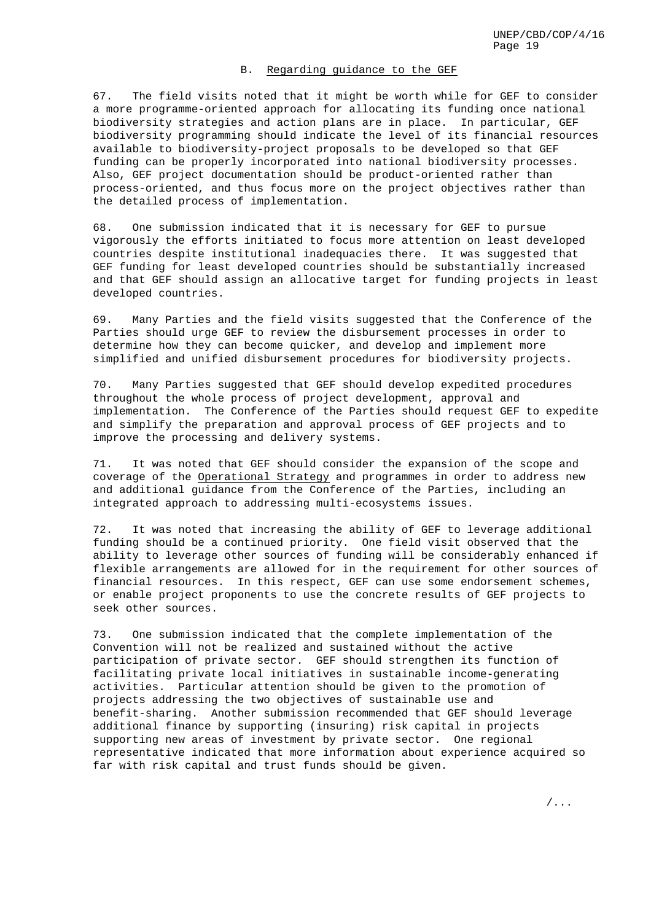# B. Regarding guidance to the GEF

67. The field visits noted that it might be worth while for GEF to consider a more programme-oriented approach for allocating its funding once national biodiversity strategies and action plans are in place. In particular, GEF biodiversity programming should indicate the level of its financial resources available to biodiversity-project proposals to be developed so that GEF funding can be properly incorporated into national biodiversity processes. Also, GEF project documentation should be product-oriented rather than process-oriented, and thus focus more on the project objectives rather than the detailed process of implementation.

68. One submission indicated that it is necessary for GEF to pursue vigorously the efforts initiated to focus more attention on least developed countries despite institutional inadequacies there. It was suggested that GEF funding for least developed countries should be substantially increased and that GEF should assign an allocative target for funding projects in least developed countries.

69. Many Parties and the field visits suggested that the Conference of the Parties should urge GEF to review the disbursement processes in order to determine how they can become quicker, and develop and implement more simplified and unified disbursement procedures for biodiversity projects.

70. Many Parties suggested that GEF should develop expedited procedures throughout the whole process of project development, approval and implementation. The Conference of the Parties should request GEF to expedite and simplify the preparation and approval process of GEF projects and to improve the processing and delivery systems.

71. It was noted that GEF should consider the expansion of the scope and coverage of the Operational Strategy and programmes in order to address new and additional guidance from the Conference of the Parties, including an integrated approach to addressing multi-ecosystems issues.

72. It was noted that increasing the ability of GEF to leverage additional funding should be a continued priority. One field visit observed that the ability to leverage other sources of funding will be considerably enhanced if flexible arrangements are allowed for in the requirement for other sources of financial resources. In this respect, GEF can use some endorsement schemes, or enable project proponents to use the concrete results of GEF projects to seek other sources.

73. One submission indicated that the complete implementation of the Convention will not be realized and sustained without the active participation of private sector. GEF should strengthen its function of facilitating private local initiatives in sustainable income-generating activities. Particular attention should be given to the promotion of projects addressing the two objectives of sustainable use and benefit-sharing. Another submission recommended that GEF should leverage additional finance by supporting (insuring) risk capital in projects supporting new areas of investment by private sector. One regional representative indicated that more information about experience acquired so far with risk capital and trust funds should be given.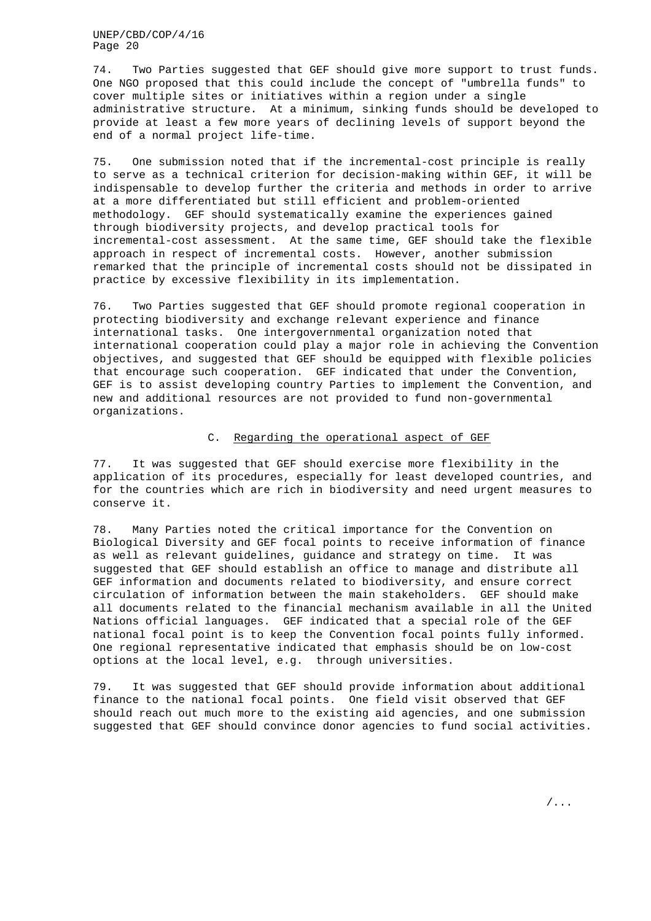74. Two Parties suggested that GEF should give more support to trust funds. One NGO proposed that this could include the concept of "umbrella funds" to cover multiple sites or initiatives within a region under a single administrative structure. At a minimum, sinking funds should be developed to provide at least a few more years of declining levels of support beyond the end of a normal project life-time.

75. One submission noted that if the incremental-cost principle is really to serve as a technical criterion for decision-making within GEF, it will be indispensable to develop further the criteria and methods in order to arrive at a more differentiated but still efficient and problem-oriented methodology. GEF should systematically examine the experiences gained through biodiversity projects, and develop practical tools for incremental-cost assessment. At the same time, GEF should take the flexible approach in respect of incremental costs. However, another submission remarked that the principle of incremental costs should not be dissipated in practice by excessive flexibility in its implementation.

76. Two Parties suggested that GEF should promote regional cooperation in protecting biodiversity and exchange relevant experience and finance international tasks. One intergovernmental organization noted that international cooperation could play a major role in achieving the Convention objectives, and suggested that GEF should be equipped with flexible policies that encourage such cooperation. GEF indicated that under the Convention, GEF is to assist developing country Parties to implement the Convention, and new and additional resources are not provided to fund non-governmental organizations.

## C. Regarding the operational aspect of GEF

77. It was suggested that GEF should exercise more flexibility in the application of its procedures, especially for least developed countries, and for the countries which are rich in biodiversity and need urgent measures to conserve it.

78. Many Parties noted the critical importance for the Convention on Biological Diversity and GEF focal points to receive information of finance as well as relevant guidelines, guidance and strategy on time. It was suggested that GEF should establish an office to manage and distribute all GEF information and documents related to biodiversity, and ensure correct circulation of information between the main stakeholders. GEF should make all documents related to the financial mechanism available in all the United Nations official languages. GEF indicated that a special role of the GEF national focal point is to keep the Convention focal points fully informed. One regional representative indicated that emphasis should be on low-cost options at the local level, e.g. through universities.

79. It was suggested that GEF should provide information about additional finance to the national focal points. One field visit observed that GEF should reach out much more to the existing aid agencies, and one submission suggested that GEF should convince donor agencies to fund social activities.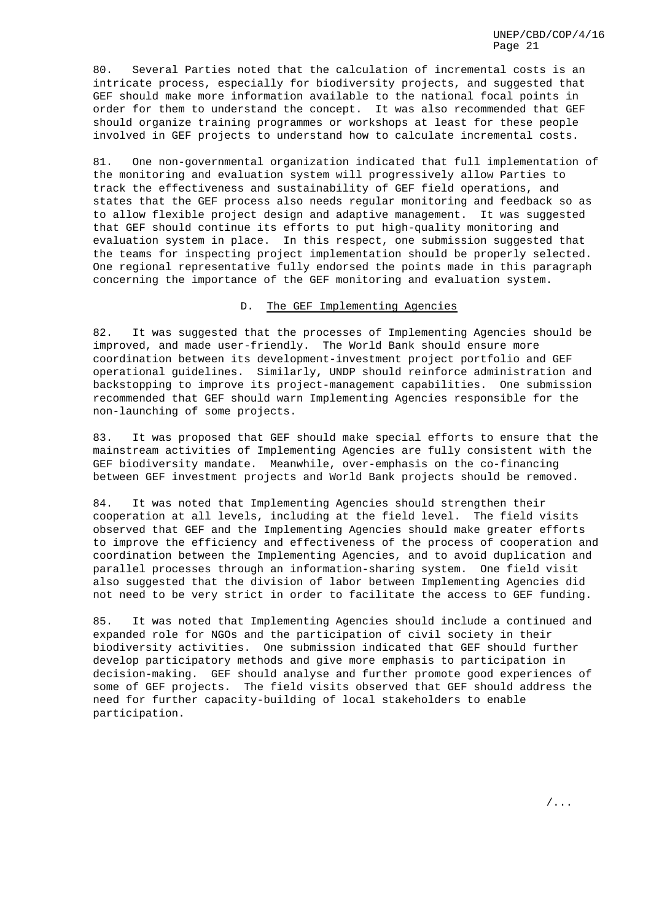80. Several Parties noted that the calculation of incremental costs is an intricate process, especially for biodiversity projects, and suggested that GEF should make more information available to the national focal points in order for them to understand the concept. It was also recommended that GEF should organize training programmes or workshops at least for these people involved in GEF projects to understand how to calculate incremental costs.

81. One non-governmental organization indicated that full implementation of the monitoring and evaluation system will progressively allow Parties to track the effectiveness and sustainability of GEF field operations, and states that the GEF process also needs regular monitoring and feedback so as to allow flexible project design and adaptive management. It was suggested that GEF should continue its efforts to put high-quality monitoring and evaluation system in place. In this respect, one submission suggested that the teams for inspecting project implementation should be properly selected. One regional representative fully endorsed the points made in this paragraph concerning the importance of the GEF monitoring and evaluation system.

#### D. The GEF Implementing Agencies

82. It was suggested that the processes of Implementing Agencies should be improved, and made user-friendly. The World Bank should ensure more coordination between its development-investment project portfolio and GEF operational guidelines. Similarly, UNDP should reinforce administration and backstopping to improve its project-management capabilities. One submission recommended that GEF should warn Implementing Agencies responsible for the non-launching of some projects.

83. It was proposed that GEF should make special efforts to ensure that the mainstream activities of Implementing Agencies are fully consistent with the GEF biodiversity mandate. Meanwhile, over-emphasis on the co-financing between GEF investment projects and World Bank projects should be removed.

84. It was noted that Implementing Agencies should strengthen their cooperation at all levels, including at the field level. The field visits observed that GEF and the Implementing Agencies should make greater efforts to improve the efficiency and effectiveness of the process of cooperation and coordination between the Implementing Agencies, and to avoid duplication and parallel processes through an information-sharing system. One field visit also suggested that the division of labor between Implementing Agencies did not need to be very strict in order to facilitate the access to GEF funding.

85. It was noted that Implementing Agencies should include a continued and expanded role for NGOs and the participation of civil society in their biodiversity activities. One submission indicated that GEF should further develop participatory methods and give more emphasis to participation in decision-making. GEF should analyse and further promote good experiences of some of GEF projects. The field visits observed that GEF should address the need for further capacity-building of local stakeholders to enable participation.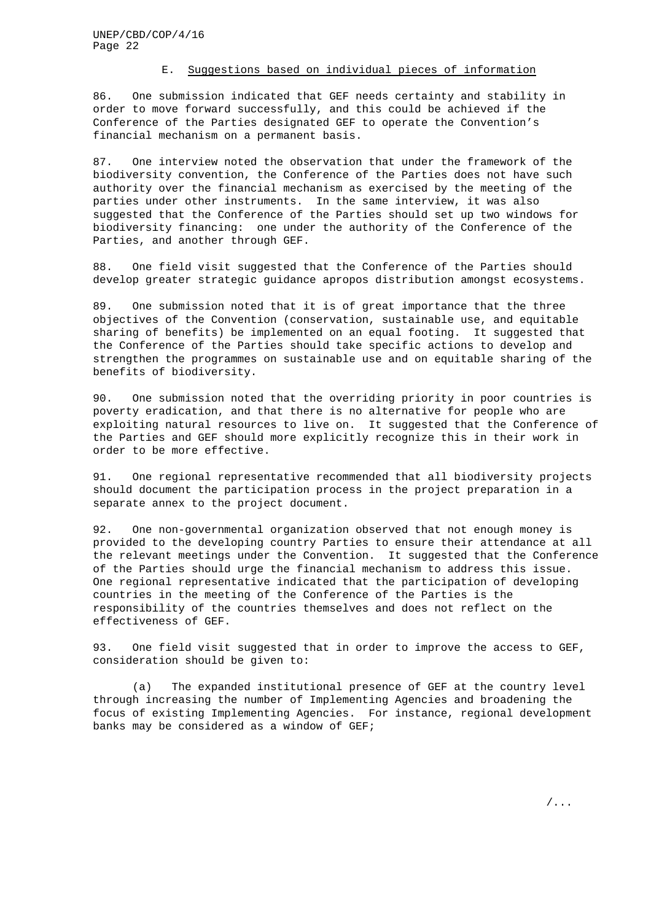## E. Suggestions based on individual pieces of information

86. One submission indicated that GEF needs certainty and stability in order to move forward successfully, and this could be achieved if the Conference of the Parties designated GEF to operate the Convention's financial mechanism on a permanent basis.

87. One interview noted the observation that under the framework of the biodiversity convention, the Conference of the Parties does not have such authority over the financial mechanism as exercised by the meeting of the parties under other instruments. In the same interview, it was also suggested that the Conference of the Parties should set up two windows for biodiversity financing: one under the authority of the Conference of the Parties, and another through GEF.

88. One field visit suggested that the Conference of the Parties should develop greater strategic guidance apropos distribution amongst ecosystems.

89. One submission noted that it is of great importance that the three objectives of the Convention (conservation, sustainable use, and equitable sharing of benefits) be implemented on an equal footing. It suggested that the Conference of the Parties should take specific actions to develop and strengthen the programmes on sustainable use and on equitable sharing of the benefits of biodiversity.

90. One submission noted that the overriding priority in poor countries is poverty eradication, and that there is no alternative for people who are exploiting natural resources to live on. It suggested that the Conference of the Parties and GEF should more explicitly recognize this in their work in order to be more effective.

91. One regional representative recommended that all biodiversity projects should document the participation process in the project preparation in a separate annex to the project document.

92. One non-governmental organization observed that not enough money is provided to the developing country Parties to ensure their attendance at all the relevant meetings under the Convention. It suggested that the Conference of the Parties should urge the financial mechanism to address this issue. One regional representative indicated that the participation of developing countries in the meeting of the Conference of the Parties is the responsibility of the countries themselves and does not reflect on the effectiveness of GEF.

93. One field visit suggested that in order to improve the access to GEF, consideration should be given to:

(a) The expanded institutional presence of GEF at the country level through increasing the number of Implementing Agencies and broadening the focus of existing Implementing Agencies. For instance, regional development banks may be considered as a window of GEF;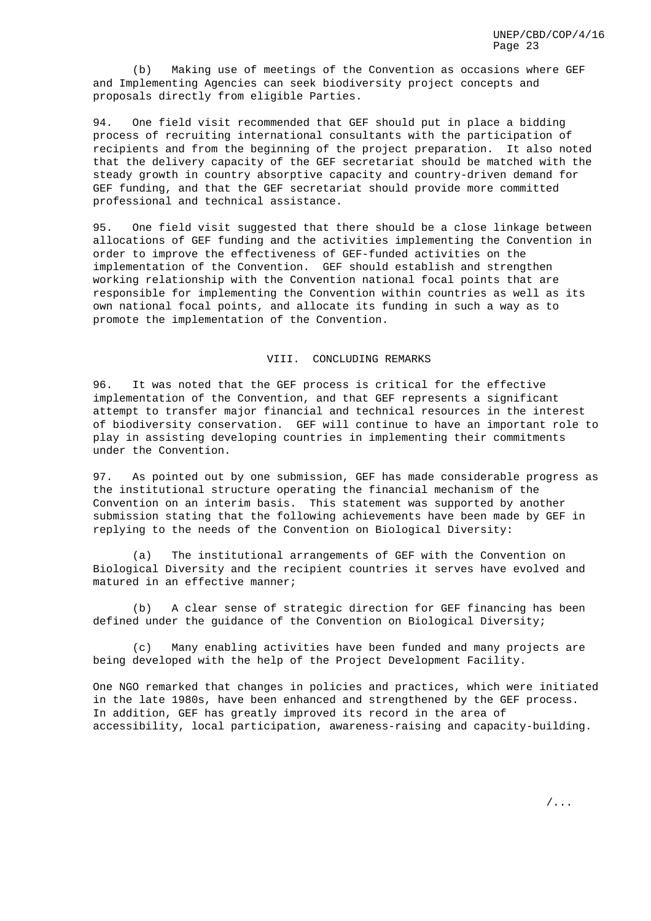(b) Making use of meetings of the Convention as occasions where GEF and Implementing Agencies can seek biodiversity project concepts and proposals directly from eligible Parties.

94. One field visit recommended that GEF should put in place a bidding process of recruiting international consultants with the participation of recipients and from the beginning of the project preparation. It also noted that the delivery capacity of the GEF secretariat should be matched with the steady growth in country absorptive capacity and country-driven demand for GEF funding, and that the GEF secretariat should provide more committed professional and technical assistance.

95. One field visit suggested that there should be a close linkage between allocations of GEF funding and the activities implementing the Convention in order to improve the effectiveness of GEF-funded activities on the implementation of the Convention. GEF should establish and strengthen working relationship with the Convention national focal points that are responsible for implementing the Convention within countries as well as its own national focal points, and allocate its funding in such a way as to promote the implementation of the Convention.

#### VIII. CONCLUDING REMARKS

96. It was noted that the GEF process is critical for the effective implementation of the Convention, and that GEF represents a significant attempt to transfer major financial and technical resources in the interest of biodiversity conservation. GEF will continue to have an important role to play in assisting developing countries in implementing their commitments under the Convention.

97. As pointed out by one submission, GEF has made considerable progress as the institutional structure operating the financial mechanism of the Convention on an interim basis. This statement was supported by another submission stating that the following achievements have been made by GEF in replying to the needs of the Convention on Biological Diversity:

(a) The institutional arrangements of GEF with the Convention on Biological Diversity and the recipient countries it serves have evolved and matured in an effective manner;

(b) A clear sense of strategic direction for GEF financing has been defined under the guidance of the Convention on Biological Diversity;

(c) Many enabling activities have been funded and many projects are being developed with the help of the Project Development Facility.

One NGO remarked that changes in policies and practices, which were initiated in the late 1980s, have been enhanced and strengthened by the GEF process. In addition, GEF has greatly improved its record in the area of accessibility, local participation, awareness-raising and capacity-building.